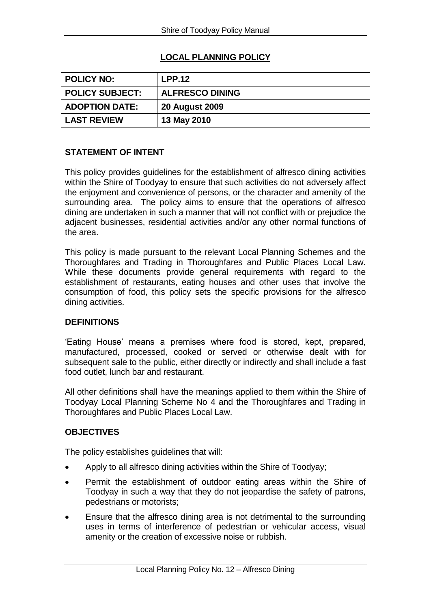# **LOCAL PLANNING POLICY**

| <b>POLICY NO:</b>      | LPP.12                 |
|------------------------|------------------------|
| <b>POLICY SUBJECT:</b> | <b>ALFRESCO DINING</b> |
| <b>ADOPTION DATE:</b>  | <b>20 August 2009</b>  |
| <b>LAST REVIEW</b>     | 13 May 2010            |

## **STATEMENT OF INTENT**

This policy provides guidelines for the establishment of alfresco dining activities within the Shire of Toodyay to ensure that such activities do not adversely affect the enjoyment and convenience of persons, or the character and amenity of the surrounding area. The policy aims to ensure that the operations of alfresco dining are undertaken in such a manner that will not conflict with or prejudice the adjacent businesses, residential activities and/or any other normal functions of the area.

This policy is made pursuant to the relevant Local Planning Schemes and the Thoroughfares and Trading in Thoroughfares and Public Places Local Law. While these documents provide general requirements with regard to the establishment of restaurants, eating houses and other uses that involve the consumption of food, this policy sets the specific provisions for the alfresco dining activities.

### **DEFINITIONS**

'Eating House' means a premises where food is stored, kept, prepared, manufactured, processed, cooked or served or otherwise dealt with for subsequent sale to the public, either directly or indirectly and shall include a fast food outlet, lunch bar and restaurant.

All other definitions shall have the meanings applied to them within the Shire of Toodyay Local Planning Scheme No 4 and the Thoroughfares and Trading in Thoroughfares and Public Places Local Law.

## **OBJECTIVES**

The policy establishes guidelines that will:

- Apply to all alfresco dining activities within the Shire of Toodyay;
- Permit the establishment of outdoor eating areas within the Shire of Toodyay in such a way that they do not jeopardise the safety of patrons, pedestrians or motorists;
- Ensure that the alfresco dining area is not detrimental to the surrounding uses in terms of interference of pedestrian or vehicular access, visual amenity or the creation of excessive noise or rubbish.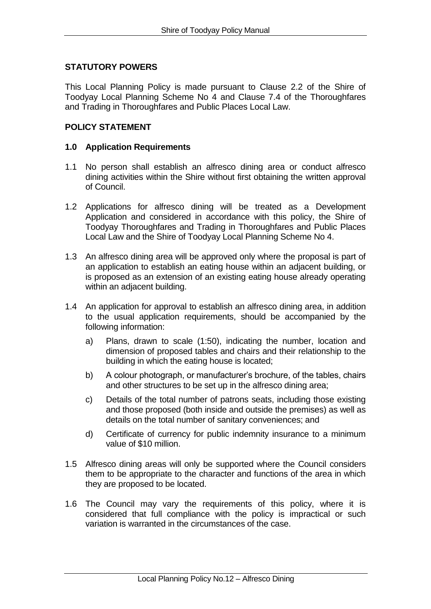### **STATUTORY POWERS**

This Local Planning Policy is made pursuant to Clause 2.2 of the Shire of Toodyay Local Planning Scheme No 4 and Clause 7.4 of the Thoroughfares and Trading in Thoroughfares and Public Places Local Law.

### **POLICY STATEMENT**

### **1.0 Application Requirements**

- 1.1 No person shall establish an alfresco dining area or conduct alfresco dining activities within the Shire without first obtaining the written approval of Council.
- 1.2 Applications for alfresco dining will be treated as a Development Application and considered in accordance with this policy, the Shire of Toodyay Thoroughfares and Trading in Thoroughfares and Public Places Local Law and the Shire of Toodyay Local Planning Scheme No 4.
- 1.3 An alfresco dining area will be approved only where the proposal is part of an application to establish an eating house within an adjacent building, or is proposed as an extension of an existing eating house already operating within an adjacent building.
- 1.4 An application for approval to establish an alfresco dining area, in addition to the usual application requirements, should be accompanied by the following information:
	- a) Plans, drawn to scale (1:50), indicating the number, location and dimension of proposed tables and chairs and their relationship to the building in which the eating house is located;
	- b) A colour photograph, or manufacturer's brochure, of the tables, chairs and other structures to be set up in the alfresco dining area;
	- c) Details of the total number of patrons seats, including those existing and those proposed (both inside and outside the premises) as well as details on the total number of sanitary conveniences; and
	- d) Certificate of currency for public indemnity insurance to a minimum value of \$10 million.
- 1.5 Alfresco dining areas will only be supported where the Council considers them to be appropriate to the character and functions of the area in which they are proposed to be located.
- 1.6 The Council may vary the requirements of this policy, where it is considered that full compliance with the policy is impractical or such variation is warranted in the circumstances of the case.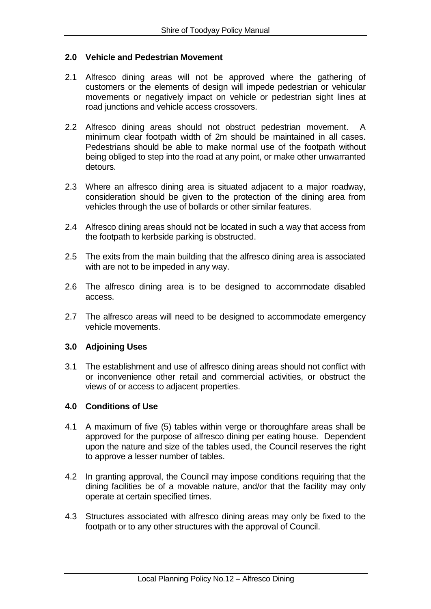#### **2.0 Vehicle and Pedestrian Movement**

- 2.1 Alfresco dining areas will not be approved where the gathering of customers or the elements of design will impede pedestrian or vehicular movements or negatively impact on vehicle or pedestrian sight lines at road junctions and vehicle access crossovers.
- 2.2 Alfresco dining areas should not obstruct pedestrian movement. A minimum clear footpath width of 2m should be maintained in all cases. Pedestrians should be able to make normal use of the footpath without being obliged to step into the road at any point, or make other unwarranted detours.
- 2.3 Where an alfresco dining area is situated adjacent to a major roadway, consideration should be given to the protection of the dining area from vehicles through the use of bollards or other similar features.
- 2.4 Alfresco dining areas should not be located in such a way that access from the footpath to kerbside parking is obstructed.
- 2.5 The exits from the main building that the alfresco dining area is associated with are not to be impeded in any way.
- 2.6 The alfresco dining area is to be designed to accommodate disabled access.
- 2.7 The alfresco areas will need to be designed to accommodate emergency vehicle movements.

#### **3.0 Adjoining Uses**

3.1 The establishment and use of alfresco dining areas should not conflict with or inconvenience other retail and commercial activities, or obstruct the views of or access to adjacent properties.

#### **4.0 Conditions of Use**

- 4.1 A maximum of five (5) tables within verge or thoroughfare areas shall be approved for the purpose of alfresco dining per eating house. Dependent upon the nature and size of the tables used, the Council reserves the right to approve a lesser number of tables.
- 4.2 In granting approval, the Council may impose conditions requiring that the dining facilities be of a movable nature, and/or that the facility may only operate at certain specified times.
- 4.3 Structures associated with alfresco dining areas may only be fixed to the footpath or to any other structures with the approval of Council.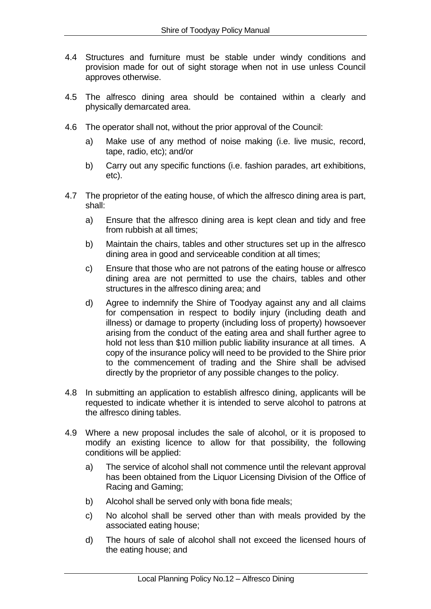- 4.4 Structures and furniture must be stable under windy conditions and provision made for out of sight storage when not in use unless Council approves otherwise.
- 4.5 The alfresco dining area should be contained within a clearly and physically demarcated area.
- 4.6 The operator shall not, without the prior approval of the Council:
	- a) Make use of any method of noise making (i.e. live music, record, tape, radio, etc); and/or
	- b) Carry out any specific functions (i.e. fashion parades, art exhibitions, etc).
- 4.7 The proprietor of the eating house, of which the alfresco dining area is part, shall:
	- a) Ensure that the alfresco dining area is kept clean and tidy and free from rubbish at all times;
	- b) Maintain the chairs, tables and other structures set up in the alfresco dining area in good and serviceable condition at all times;
	- c) Ensure that those who are not patrons of the eating house or alfresco dining area are not permitted to use the chairs, tables and other structures in the alfresco dining area; and
	- d) Agree to indemnify the Shire of Toodyay against any and all claims for compensation in respect to bodily injury (including death and illness) or damage to property (including loss of property) howsoever arising from the conduct of the eating area and shall further agree to hold not less than \$10 million public liability insurance at all times. A copy of the insurance policy will need to be provided to the Shire prior to the commencement of trading and the Shire shall be advised directly by the proprietor of any possible changes to the policy.
- 4.8 In submitting an application to establish alfresco dining, applicants will be requested to indicate whether it is intended to serve alcohol to patrons at the alfresco dining tables.
- 4.9 Where a new proposal includes the sale of alcohol, or it is proposed to modify an existing licence to allow for that possibility, the following conditions will be applied:
	- a) The service of alcohol shall not commence until the relevant approval has been obtained from the Liquor Licensing Division of the Office of Racing and Gaming;
	- b) Alcohol shall be served only with bona fide meals;
	- c) No alcohol shall be served other than with meals provided by the associated eating house;
	- d) The hours of sale of alcohol shall not exceed the licensed hours of the eating house; and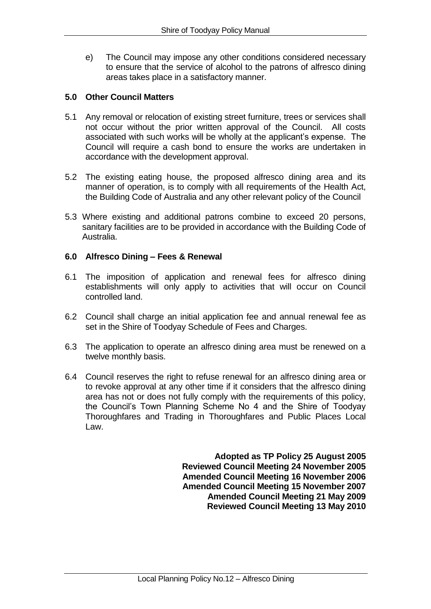e) The Council may impose any other conditions considered necessary to ensure that the service of alcohol to the patrons of alfresco dining areas takes place in a satisfactory manner.

### **5.0 Other Council Matters**

- 5.1 Any removal or relocation of existing street furniture, trees or services shall not occur without the prior written approval of the Council. All costs associated with such works will be wholly at the applicant's expense. The Council will require a cash bond to ensure the works are undertaken in accordance with the development approval.
- 5.2 The existing eating house, the proposed alfresco dining area and its manner of operation, is to comply with all requirements of the Health Act, the Building Code of Australia and any other relevant policy of the Council
- 5.3 Where existing and additional patrons combine to exceed 20 persons, sanitary facilities are to be provided in accordance with the Building Code of Australia.

### **6.0 Alfresco Dining – Fees & Renewal**

- 6.1 The imposition of application and renewal fees for alfresco dining establishments will only apply to activities that will occur on Council controlled land.
- 6.2 Council shall charge an initial application fee and annual renewal fee as set in the Shire of Toodyay Schedule of Fees and Charges.
- 6.3 The application to operate an alfresco dining area must be renewed on a twelve monthly basis.
- 6.4 Council reserves the right to refuse renewal for an alfresco dining area or to revoke approval at any other time if it considers that the alfresco dining area has not or does not fully comply with the requirements of this policy, the Council's Town Planning Scheme No 4 and the Shire of Toodyay Thoroughfares and Trading in Thoroughfares and Public Places Local Law.

**Adopted as TP Policy 25 August 2005 Reviewed Council Meeting 24 November 2005 Amended Council Meeting 16 November 2006 Amended Council Meeting 15 November 2007 Amended Council Meeting 21 May 2009 Reviewed Council Meeting 13 May 2010**